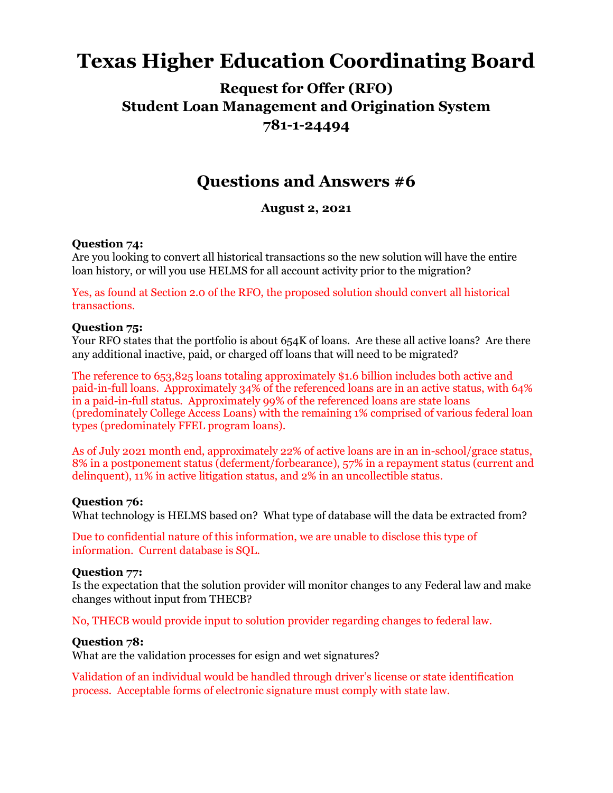# **Texas Higher Education Coordinating Board**

# **Request for Offer (RFO) Student Loan Management and Origination System 781-1-24494**

# **Questions and Answers #6**

# **August 2, 2021**

#### **Question 74:**

Are you looking to convert all historical transactions so the new solution will have the entire loan history, or will you use HELMS for all account activity prior to the migration?

Yes, as found at Section 2.0 of the RFO, the proposed solution should convert all historical transactions.

#### **Question 75:**

Your RFO states that the portfolio is about 654K of loans. Are these all active loans? Are there any additional inactive, paid, or charged off loans that will need to be migrated?

The reference to 653,825 loans totaling approximately \$1.6 billion includes both active and paid-in-full loans. Approximately 34% of the referenced loans are in an active status, with 64% in a paid-in-full status. Approximately 99% of the referenced loans are state loans (predominately College Access Loans) with the remaining 1% comprised of various federal loan types (predominately FFEL program loans).

As of July 2021 month end, approximately 22% of active loans are in an in-school/grace status, 8% in a postponement status (deferment/forbearance), 57% in a repayment status (current and delinquent), 11% in active litigation status, and 2% in an uncollectible status.

#### **Question 76:**

What technology is HELMS based on? What type of database will the data be extracted from?

Due to confidential nature of this information, we are unable to disclose this type of information. Current database is SQL.

#### **Question 77:**

Is the expectation that the solution provider will monitor changes to any Federal law and make changes without input from THECB?

No, THECB would provide input to solution provider regarding changes to federal law.

#### **Question 78:**

What are the validation processes for esign and wet signatures?

Validation of an individual would be handled through driver's license or state identification process. Acceptable forms of electronic signature must comply with state law.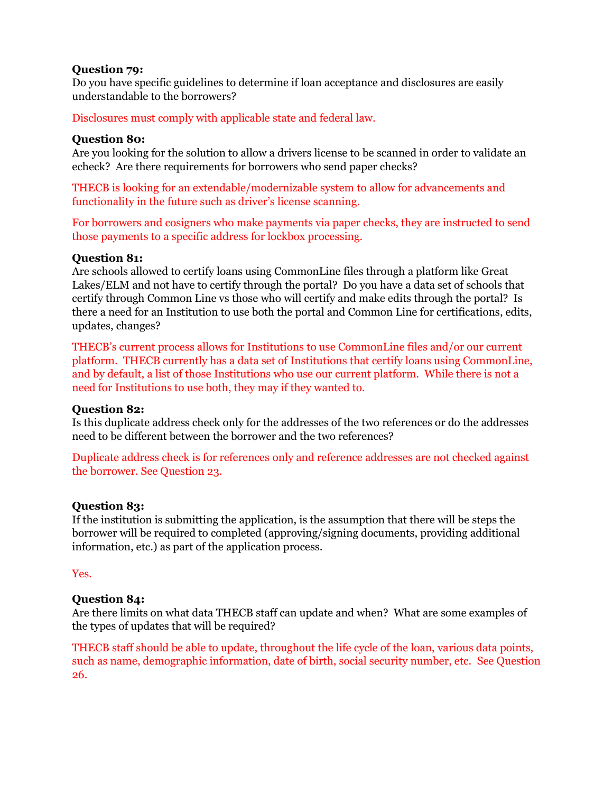#### **Question 79:**

Do you have specific guidelines to determine if loan acceptance and disclosures are easily understandable to the borrowers?

Disclosures must comply with applicable state and federal law.

## **Question 80:**

Are you looking for the solution to allow a drivers license to be scanned in order to validate an echeck? Are there requirements for borrowers who send paper checks?

THECB is looking for an extendable/modernizable system to allow for advancements and functionality in the future such as driver's license scanning.

For borrowers and cosigners who make payments via paper checks, they are instructed to send those payments to a specific address for lockbox processing.

### **Question 81:**

Are schools allowed to certify loans using CommonLine files through a platform like Great Lakes/ELM and not have to certify through the portal? Do you have a data set of schools that certify through Common Line vs those who will certify and make edits through the portal? Is there a need for an Institution to use both the portal and Common Line for certifications, edits, updates, changes?

THECB's current process allows for Institutions to use CommonLine files and/or our current platform. THECB currently has a data set of Institutions that certify loans using CommonLine, and by default, a list of those Institutions who use our current platform. While there is not a need for Institutions to use both, they may if they wanted to.

#### **Question 82:**

Is this duplicate address check only for the addresses of the two references or do the addresses need to be different between the borrower and the two references?

Duplicate address check is for references only and reference addresses are not checked against the borrower. See Question 23.

#### **Question 83:**

If the institution is submitting the application, is the assumption that there will be steps the borrower will be required to completed (approving/signing documents, providing additional information, etc.) as part of the application process.

Yes.

# **Question 84:**

Are there limits on what data THECB staff can update and when? What are some examples of the types of updates that will be required?

THECB staff should be able to update, throughout the life cycle of the loan, various data points, such as name, demographic information, date of birth, social security number, etc. See Question 26.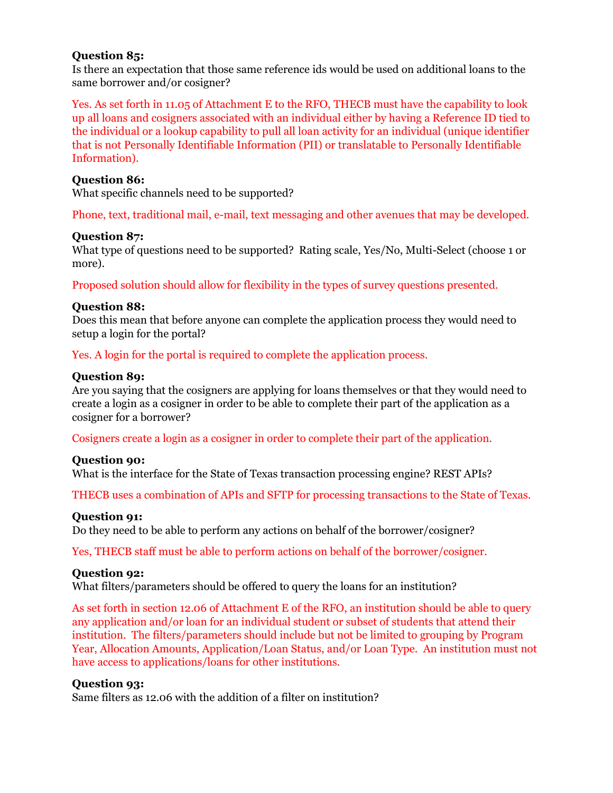#### **Question 85:**

Is there an expectation that those same reference ids would be used on additional loans to the same borrower and/or cosigner?

Yes. As set forth in 11.05 of Attachment E to the RFO, THECB must have the capability to look up all loans and cosigners associated with an individual either by having a Reference ID tied to the individual or a lookup capability to pull all loan activity for an individual (unique identifier that is not Personally Identifiable Information (PII) or translatable to Personally Identifiable Information).

#### **Question 86:**

What specific channels need to be supported?

Phone, text, traditional mail, e-mail, text messaging and other avenues that may be developed.

#### **Question 87:**

What type of questions need to be supported? Rating scale, Yes/No, Multi-Select (choose 1 or more).

Proposed solution should allow for flexibility in the types of survey questions presented.

#### **Question 88:**

Does this mean that before anyone can complete the application process they would need to setup a login for the portal?

Yes. A login for the portal is required to complete the application process.

#### **Question 89:**

Are you saying that the cosigners are applying for loans themselves or that they would need to create a login as a cosigner in order to be able to complete their part of the application as a cosigner for a borrower?

Cosigners create a login as a cosigner in order to complete their part of the application.

#### **Question 90:**

What is the interface for the State of Texas transaction processing engine? REST APIs?

THECB uses a combination of APIs and SFTP for processing transactions to the State of Texas.

#### **Question 91:**

Do they need to be able to perform any actions on behalf of the borrower/cosigner?

Yes, THECB staff must be able to perform actions on behalf of the borrower/cosigner.

#### **Question 92:**

What filters/parameters should be offered to query the loans for an institution?

As set forth in section 12.06 of Attachment E of the RFO, an institution should be able to query any application and/or loan for an individual student or subset of students that attend their institution. The filters/parameters should include but not be limited to grouping by Program Year, Allocation Amounts, Application/Loan Status, and/or Loan Type. An institution must not have access to applications/loans for other institutions.

#### **Question 93:**

Same filters as 12.06 with the addition of a filter on institution?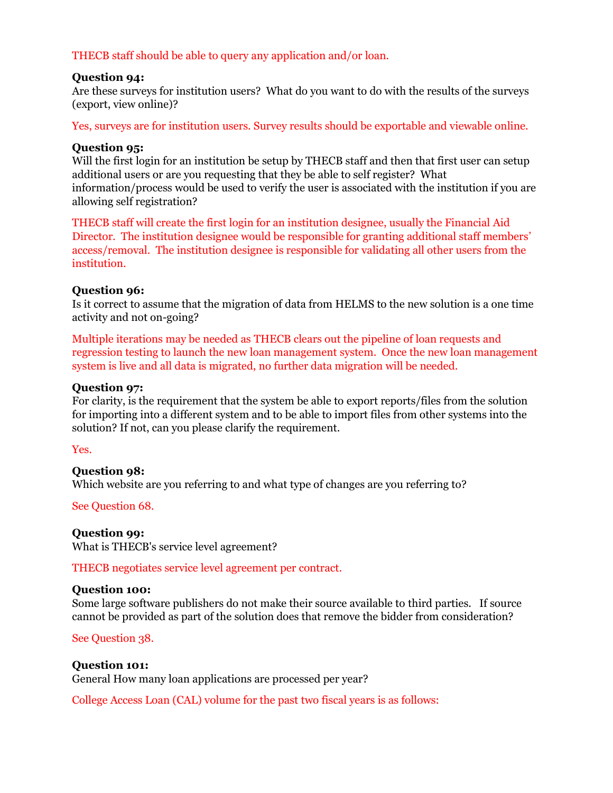### THECB staff should be able to query any application and/or loan.

#### **Question 94:**

Are these surveys for institution users? What do you want to do with the results of the surveys (export, view online)?

Yes, surveys are for institution users. Survey results should be exportable and viewable online.

#### **Question 95:**

Will the first login for an institution be setup by THECB staff and then that first user can setup additional users or are you requesting that they be able to self register? What information/process would be used to verify the user is associated with the institution if you are allowing self registration?

THECB staff will create the first login for an institution designee, usually the Financial Aid Director. The institution designee would be responsible for granting additional staff members' access/removal. The institution designee is responsible for validating all other users from the institution.

#### **Question 96:**

Is it correct to assume that the migration of data from HELMS to the new solution is a one time activity and not on-going?

Multiple iterations may be needed as THECB clears out the pipeline of loan requests and regression testing to launch the new loan management system. Once the new loan management system is live and all data is migrated, no further data migration will be needed.

#### **Question 97:**

For clarity, is the requirement that the system be able to export reports/files from the solution for importing into a different system and to be able to import files from other systems into the solution? If not, can you please clarify the requirement.

Yes.

#### **Question 98:**

Which website are you referring to and what type of changes are you referring to?

See Question 68.

#### **Question 99:**

What is THECB's service level agreement?

THECB negotiates service level agreement per contract.

#### **Question 100:**

Some large software publishers do not make their source available to third parties. If source cannot be provided as part of the solution does that remove the bidder from consideration?

#### See Question 38.

#### **Question 101:**

General How many loan applications are processed per year?

College Access Loan (CAL) volume for the past two fiscal years is as follows: